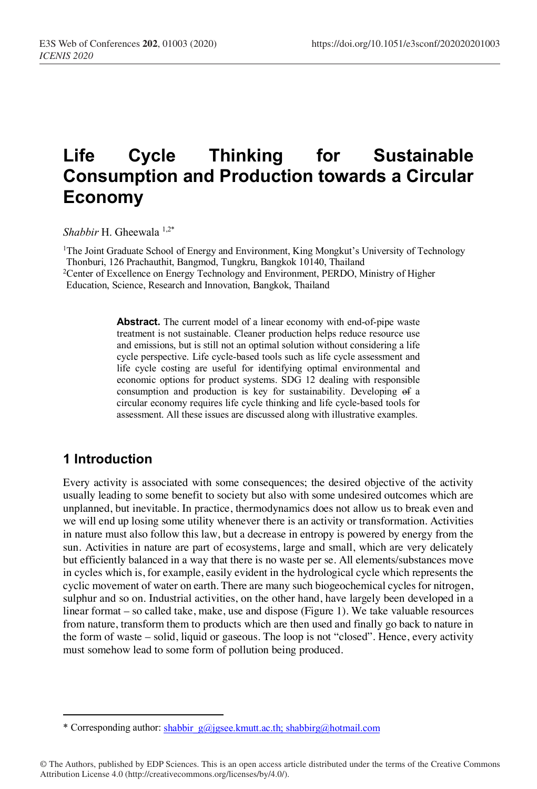# **Life Cycle Thinking for Sustainable Consumption and Production towards a Circular Economy**

*Shabbir* H. Gheewala<sup>1,2\*</sup>

<sup>1</sup>The Joint Graduate School of Energy and Environment, King Mongkut's University of Technology Thonburi, 126 Prachauthit, Bangmod, Tungkru, Bangkok 10140, Thailand

<sup>2</sup> Center of Excellence on Energy Technology and Environment, PERDO, Ministry of Higher

Education, Science, Research and Innovation, Bangkok, Thailand

**Abstract.** The current model of a linear economy with end-of-pipe waste treatment is not sustainable. Cleaner production helps reduce resource use and emissions, but is still not an optimal solution without considering a life cycle perspective. Life cycle-based tools such as life cycle assessment and life cycle costing are useful for identifying optimal environmental and economic options for product systems. SDG 12 dealing with responsible consumption and production is key for sustainability. Developing of a circular economy requires life cycle thinking and life cycle-based tools for assessment. All these issues are discussed along with illustrative examples.

#### **1 Introduction**

Every activity is associated with some consequences; the desired objective of the activity usually leading to some benefit to society but also with some undesired outcomes which are unplanned, but inevitable. In practice, thermodynamics does not allow us to break even and we will end up losing some utility whenever there is an activity or transformation. Activities in nature must also follow this law, but a decrease in entropy is powered by energy from the sun. Activities in nature are part of ecosystems, large and small, which are very delicately but efficiently balanced in a way that there is no waste per se. All elements/substances move in cycles which is, for example, easily evident in the hydrological cycle which represents the cyclic movement of water on earth. There are many such biogeochemical cycles for nitrogen, sulphur and so on. Industrial activities, on the other hand, have largely been developed in a linear format – so called take, make, use and dispose (Figure 1). We take valuable resources from nature, transform them to products which are then used and finally go back to nature in the form of waste – solid, liquid or gaseous. The loop is not "closed". Hence, every activity must somehow lead to some form of pollution being produced.

© The Authors, published by EDP Sciences. This is an open access article distributed under the terms of the Creative Commons Attribution License 4.0 (http://creativecommons.org/licenses/by/4.0/).

 \* Corresponding author: shabbir\_g@jgsee.kmutt.ac.th; shabbirg@hotmail.com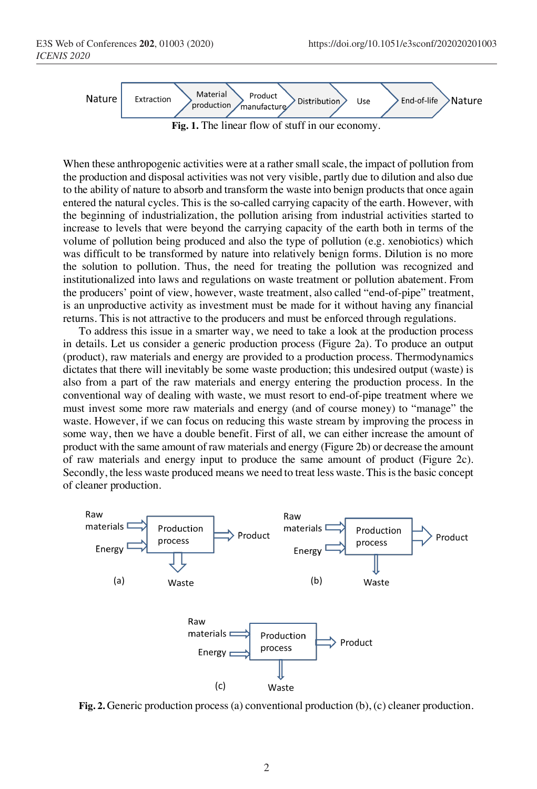

When these anthropogenic activities were at a rather small scale, the impact of pollution from the production and disposal activities was not very visible, partly due to dilution and also due to the ability of nature to absorb and transform the waste into benign products that once again entered the natural cycles. This is the so-called carrying capacity of the earth. However, with the beginning of industrialization, the pollution arising from industrial activities started to increase to levels that were beyond the carrying capacity of the earth both in terms of the volume of pollution being produced and also the type of pollution (e.g. xenobiotics) which was difficult to be transformed by nature into relatively benign forms. Dilution is no more the solution to pollution. Thus, the need for treating the pollution was recognized and institutionalized into laws and regulations on waste treatment or pollution abatement. From the producers' point of view, however, waste treatment, also called "end-of-pipe" treatment, is an unproductive activity as investment must be made for it without having any financial returns. This is not attractive to the producers and must be enforced through regulations.

To address this issue in a smarter way, we need to take a look at the production process in details. Let us consider a generic production process (Figure 2a). To produce an output (product), raw materials and energy are provided to a production process. Thermodynamics dictates that there will inevitably be some waste production; this undesired output (waste) is also from a part of the raw materials and energy entering the production process. In the conventional way of dealing with waste, we must resort to end-of-pipe treatment where we must invest some more raw materials and energy (and of course money) to "manage" the waste. However, if we can focus on reducing this waste stream by improving the process in some way, then we have a double benefit. First of all, we can either increase the amount of product with the same amount of raw materials and energy (Figure 2b) or decrease the amount of raw materials and energy input to produce the same amount of product (Figure 2c). Secondly, the less waste produced means we need to treat less waste. This is the basic concept of cleaner production.



**Fig. 2.** Generic production process (a) conventional production (b), (c) cleaner production.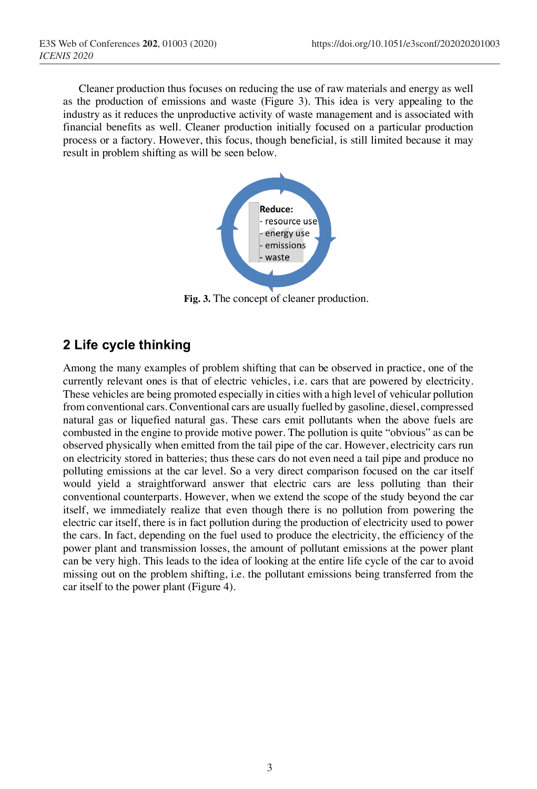Cleaner production thus focuses on reducing the use of raw materials and energy as well as the production of emissions and waste (Figure 3). This idea is very appealing to the industry as it reduces the unproductive activity of waste management and is associated with financial benefits as well. Cleaner production initially focused on a particular production process or a factory. However, this focus, though beneficial, is still limited because it may result in problem shifting as will be seen below.



**Fig. 3.** The concept of cleaner production.

## **2 Life cycle thinking**

Among the many examples of problem shifting that can be observed in practice, one of the currently relevant ones is that of electric vehicles, i.e. cars that are powered by electricity. These vehicles are being promoted especially in cities with a high level of vehicular pollution from conventional cars. Conventional cars are usually fuelled by gasoline, diesel, compressed natural gas or liquefied natural gas. These cars emit pollutants when the above fuels are combusted in the engine to provide motive power. The pollution is quite "obvious" as can be observed physically when emitted from the tail pipe of the car. However, electricity cars run on electricity stored in batteries; thus these cars do not even need a tail pipe and produce no polluting emissions at the car level. So a very direct comparison focused on the car itself would yield a straightforward answer that electric cars are less polluting than their conventional counterparts. However, when we extend the scope of the study beyond the car itself, we immediately realize that even though there is no pollution from powering the electric car itself, there is in fact pollution during the production of electricity used to power the cars. In fact, depending on the fuel used to produce the electricity, the efficiency of the power plant and transmission losses, the amount of pollutant emissions at the power plant can be very high. This leads to the idea of looking at the entire life cycle of the car to avoid missing out on the problem shifting, i.e. the pollutant emissions being transferred from the car itself to the power plant (Figure 4).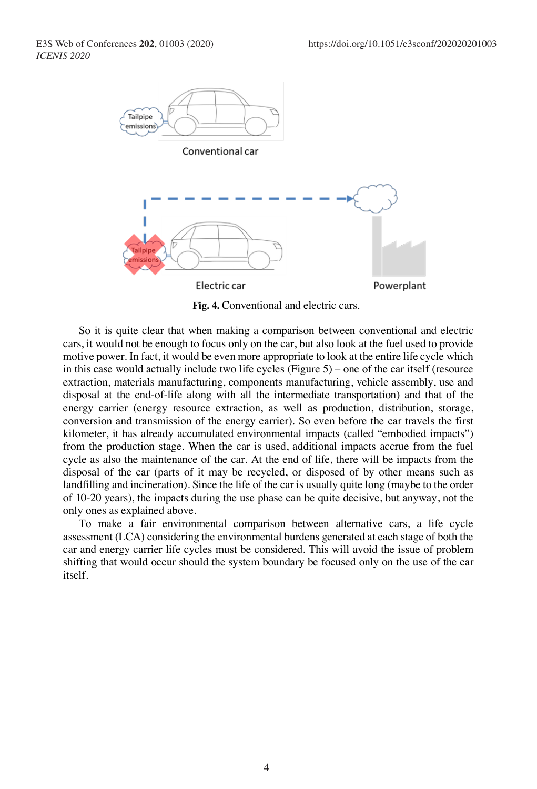

**Fig. 4.** Conventional and electric cars.

So it is quite clear that when making a comparison between conventional and electric cars, it would not be enough to focus only on the car, but also look at the fuel used to provide motive power. In fact, it would be even more appropriate to look at the entire life cycle which in this case would actually include two life cycles (Figure 5) – one of the car itself (resource extraction, materials manufacturing, components manufacturing, vehicle assembly, use and disposal at the end-of-life along with all the intermediate transportation) and that of the energy carrier (energy resource extraction, as well as production, distribution, storage, conversion and transmission of the energy carrier). So even before the car travels the first kilometer, it has already accumulated environmental impacts (called "embodied impacts") from the production stage. When the car is used, additional impacts accrue from the fuel cycle as also the maintenance of the car. At the end of life, there will be impacts from the disposal of the car (parts of it may be recycled, or disposed of by other means such as landfilling and incineration). Since the life of the car is usually quite long (maybe to the order of 10-20 years), the impacts during the use phase can be quite decisive, but anyway, not the only ones as explained above.

To make a fair environmental comparison between alternative cars, a life cycle assessment (LCA) considering the environmental burdens generated at each stage of both the car and energy carrier life cycles must be considered. This will avoid the issue of problem shifting that would occur should the system boundary be focused only on the use of the car itself.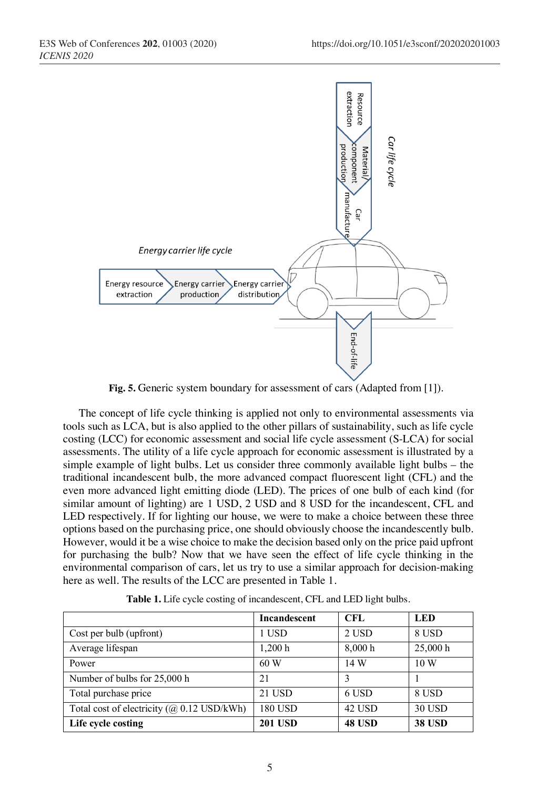

**Fig. 5.** Generic system boundary for assessment of cars (Adapted from [1]).

The concept of life cycle thinking is applied not only to environmental assessments via tools such as LCA, but is also applied to the other pillars of sustainability, such as life cycle costing (LCC) for economic assessment and social life cycle assessment (S-LCA) for social assessments. The utility of a life cycle approach for economic assessment is illustrated by a simple example of light bulbs. Let us consider three commonly available light bulbs – the traditional incandescent bulb, the more advanced compact fluorescent light (CFL) and the even more advanced light emitting diode (LED). The prices of one bulb of each kind (for similar amount of lighting) are 1 USD, 2 USD and 8 USD for the incandescent, CFL and LED respectively. If for lighting our house, we were to make a choice between these three options based on the purchasing price, one should obviously choose the incandescently bulb. However, would it be a wise choice to make the decision based only on the price paid upfront for purchasing the bulb? Now that we have seen the effect of life cycle thinking in the environmental comparison of cars, let us try to use a similar approach for decision-making here as well. The results of the LCC are presented in Table 1.

|                                               | <b>Incandescent</b> | <b>CFL</b>    | <b>LED</b>    |
|-----------------------------------------------|---------------------|---------------|---------------|
| Cost per bulb (upfront)                       | 1 USD               | 2 USD         | 8 USD         |
| Average lifespan                              | 1,200 h             | 8,000h        | 25,000h       |
| Power                                         | 60 W                | 14 W          | 10W           |
| Number of bulbs for 25,000 h                  | 21                  |               |               |
| Total purchase price                          | 21 USD              | 6 USD         | 8 USD         |
| Total cost of electricity $(Q\ 0.12$ USD/kWh) | <b>180 USD</b>      | 42 USD        | 30 USD        |
| Life cycle costing                            | <b>201 USD</b>      | <b>48 USD</b> | <b>38 USD</b> |

**Table 1.** Life cycle costing of incandescent, CFL and LED light bulbs.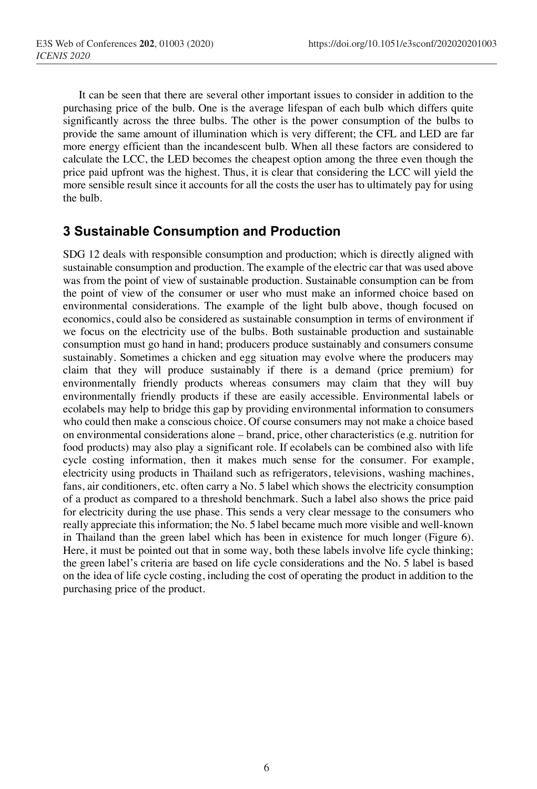It can be seen that there are several other important issues to consider in addition to the purchasing price of the bulb. One is the average lifespan of each bulb which differs quite significantly across the three bulbs. The other is the power consumption of the bulbs to provide the same amount of illumination which is very different; the CFL and LED are far more energy efficient than the incandescent bulb. When all these factors are considered to calculate the LCC, the LED becomes the cheapest option among the three even though the price paid upfront was the highest. Thus, it is clear that considering the LCC will yield the more sensible result since it accounts for all the costs the user has to ultimately pay for using the bulb.

## **3 Sustainable Consumption and Production**

SDG 12 deals with responsible consumption and production; which is directly aligned with sustainable consumption and production. The example of the electric car that was used above was from the point of view of sustainable production. Sustainable consumption can be from the point of view of the consumer or user who must make an informed choice based on environmental considerations. The example of the light bulb above, though focused on economics, could also be considered as sustainable consumption in terms of environment if we focus on the electricity use of the bulbs. Both sustainable production and sustainable consumption must go hand in hand; producers produce sustainably and consumers consume sustainably. Sometimes a chicken and egg situation may evolve where the producers may claim that they will produce sustainably if there is a demand (price premium) for environmentally friendly products whereas consumers may claim that they will buy environmentally friendly products if these are easily accessible. Environmental labels or ecolabels may help to bridge this gap by providing environmental information to consumers who could then make a conscious choice. Of course consumers may not make a choice based on environmental considerations alone – brand, price, other characteristics (e.g. nutrition for food products) may also play a significant role. If ecolabels can be combined also with life cycle costing information, then it makes much sense for the consumer. For example, electricity using products in Thailand such as refrigerators, televisions, washing machines, fans, air conditioners, etc. often carry a No. 5 label which shows the electricity consumption of a product as compared to a threshold benchmark. Such a label also shows the price paid for electricity during the use phase. This sends a very clear message to the consumers who really appreciate this information; the No. 5 label became much more visible and well-known in Thailand than the green label which has been in existence for much longer (Figure 6). Here, it must be pointed out that in some way, both these labels involve life cycle thinking; the green label's criteria are based on life cycle considerations and the No. 5 label is based on the idea of life cycle costing, including the cost of operating the product in addition to the purchasing price of the product.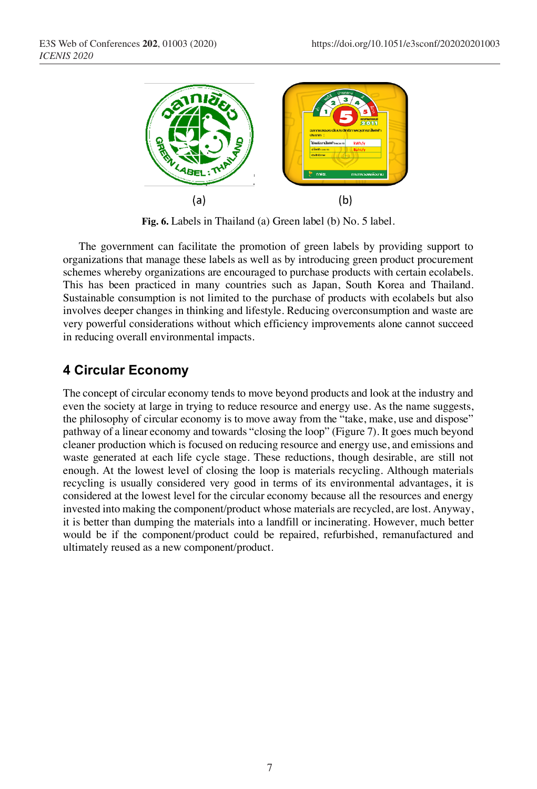

**Fig. 6.** Labels in Thailand (a) Green label (b) No. 5 label.

The government can facilitate the promotion of green labels by providing support to organizations that manage these labels as well as by introducing green product procurement schemes whereby organizations are encouraged to purchase products with certain ecolabels. This has been practiced in many countries such as Japan, South Korea and Thailand. Sustainable consumption is not limited to the purchase of products with ecolabels but also involves deeper changes in thinking and lifestyle. Reducing overconsumption and waste are very powerful considerations without which efficiency improvements alone cannot succeed in reducing overall environmental impacts.

# **4 Circular Economy**

The concept of circular economy tends to move beyond products and look at the industry and even the society at large in trying to reduce resource and energy use. As the name suggests, the philosophy of circular economy is to move away from the "take, make, use and dispose" pathway of a linear economy and towards "closing the loop" (Figure 7). It goes much beyond cleaner production which is focused on reducing resource and energy use, and emissions and waste generated at each life cycle stage. These reductions, though desirable, are still not enough. At the lowest level of closing the loop is materials recycling. Although materials recycling is usually considered very good in terms of its environmental advantages, it is considered at the lowest level for the circular economy because all the resources and energy invested into making the component/product whose materials are recycled, are lost. Anyway, it is better than dumping the materials into a landfill or incinerating. However, much better would be if the component/product could be repaired, refurbished, remanufactured and ultimately reused as a new component/product.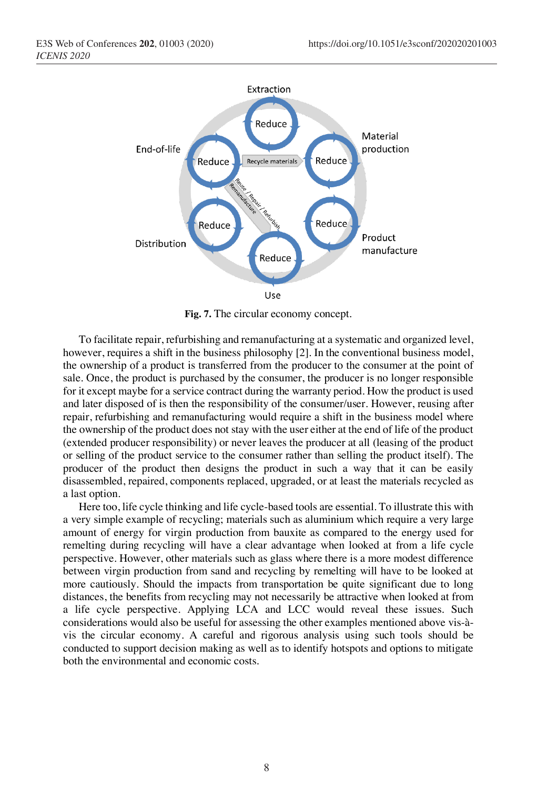

**Fig. 7.** The circular economy concept.

To facilitate repair, refurbishing and remanufacturing at a systematic and organized level, however, requires a shift in the business philosophy [2]. In the conventional business model, the ownership of a product is transferred from the producer to the consumer at the point of sale. Once, the product is purchased by the consumer, the producer is no longer responsible for it except maybe for a service contract during the warranty period. How the product is used and later disposed of is then the responsibility of the consumer/user. However, reusing after repair, refurbishing and remanufacturing would require a shift in the business model where the ownership of the product does not stay with the user either at the end of life of the product (extended producer responsibility) or never leaves the producer at all (leasing of the product or selling of the product service to the consumer rather than selling the product itself). The producer of the product then designs the product in such a way that it can be easily disassembled, repaired, components replaced, upgraded, or at least the materials recycled as a last option.

Here too, life cycle thinking and life cycle-based tools are essential. To illustrate this with a very simple example of recycling; materials such as aluminium which require a very large amount of energy for virgin production from bauxite as compared to the energy used for remelting during recycling will have a clear advantage when looked at from a life cycle perspective. However, other materials such as glass where there is a more modest difference between virgin production from sand and recycling by remelting will have to be looked at more cautiously. Should the impacts from transportation be quite significant due to long distances, the benefits from recycling may not necessarily be attractive when looked at from a life cycle perspective. Applying LCA and LCC would reveal these issues. Such considerations would also be useful for assessing the other examples mentioned above vis-àvis the circular economy. A careful and rigorous analysis using such tools should be conducted to support decision making as well as to identify hotspots and options to mitigate both the environmental and economic costs.